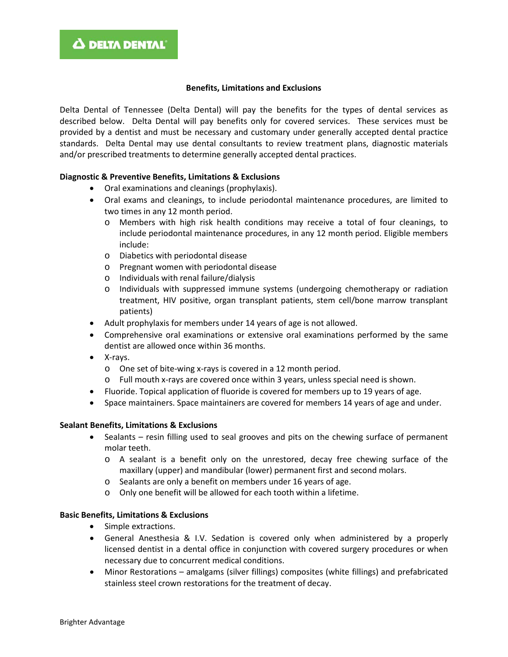#### **Benefits, Limitations and Exclusions**

Delta Dental of Tennessee (Delta Dental) will pay the benefits for the types of dental services as described below. Delta Dental will pay benefits only for covered services. These services must be provided by a dentist and must be necessary and customary under generally accepted dental practice standards. Delta Dental may use dental consultants to review treatment plans, diagnostic materials and/or prescribed treatments to determine generally accepted dental practices.

## **Diagnostic & Preventive Benefits, Limitations & Exclusions**

- Oral examinations and cleanings (prophylaxis).
- Oral exams and cleanings, to include periodontal maintenance procedures, are limited to two times in any 12 month period.
	- o Members with high risk health conditions may receive a total of four cleanings, to include periodontal maintenance procedures, in any 12 month period. Eligible members include:
	- o Diabetics with periodontal disease
	- o Pregnant women with periodontal disease
	- o Individuals with renal failure/dialysis
	- o Individuals with suppressed immune systems (undergoing chemotherapy or radiation treatment, HIV positive, organ transplant patients, stem cell/bone marrow transplant patients)
- Adult prophylaxis for members under 14 years of age is not allowed.
- Comprehensive oral examinations or extensive oral examinations performed by the same dentist are allowed once within 36 months.
- X-rays.
	- o One set of bite-wing x-rays is covered in a 12 month period.
	- o Full mouth x-rays are covered once within 3 years, unless special need is shown.
- Fluoride. Topical application of fluoride is covered for members up to 19 years of age.
- Space maintainers. Space maintainers are covered for members 14 years of age and under.

#### **Sealant Benefits, Limitations & Exclusions**

- Sealants resin filling used to seal grooves and pits on the chewing surface of permanent molar teeth.
	- o A sealant is a benefit only on the unrestored, decay free chewing surface of the maxillary (upper) and mandibular (lower) permanent first and second molars.
	- o Sealants are only a benefit on members under 16 years of age.
	- o Only one benefit will be allowed for each tooth within a lifetime.

#### **Basic Benefits, Limitations & Exclusions**

- Simple extractions.
- General Anesthesia & I.V. Sedation is covered only when administered by a properly licensed dentist in a dental office in conjunction with covered surgery procedures or when necessary due to concurrent medical conditions.
- Minor Restorations amalgams (silver fillings) composites (white fillings) and prefabricated stainless steel crown restorations for the treatment of decay.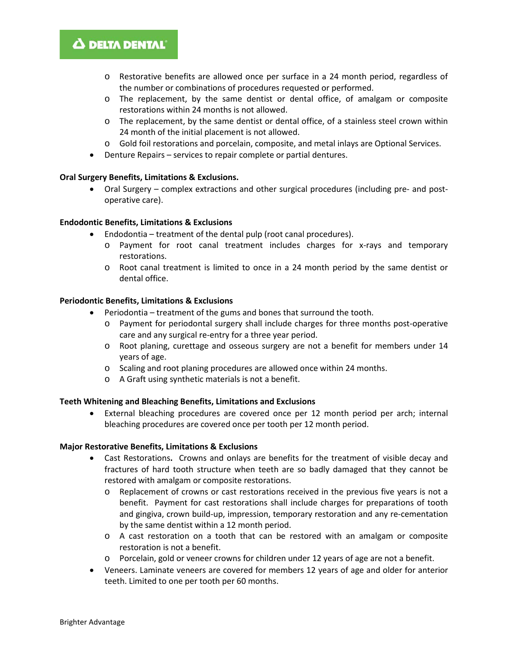# Δ DELTA DENTAL'

- o Restorative benefits are allowed once per surface in a 24 month period, regardless of the number or combinations of procedures requested or performed.
- o The replacement, by the same dentist or dental office, of amalgam or composite restorations within 24 months is not allowed.
- o The replacement, by the same dentist or dental office, of a stainless steel crown within 24 month of the initial placement is not allowed.
- o Gold foil restorations and porcelain, composite, and metal inlays are Optional Services.
- Denture Repairs services to repair complete or partial dentures.

## **Oral Surgery Benefits, Limitations & Exclusions.**

• Oral Surgery – complex extractions and other surgical procedures (including pre- and postoperative care).

## **Endodontic Benefits, Limitations & Exclusions**

- Endodontia treatment of the dental pulp (root canal procedures).
	- o Payment for root canal treatment includes charges for x-rays and temporary restorations.
	- o Root canal treatment is limited to once in a 24 month period by the same dentist or dental office.

## **Periodontic Benefits, Limitations & Exclusions**

- Periodontia treatment of the gums and bones that surround the tooth.
	- o Payment for periodontal surgery shall include charges for three months post-operative care and any surgical re-entry for a three year period.
	- o Root planing, curettage and osseous surgery are not a benefit for members under 14 years of age.
	- o Scaling and root planing procedures are allowed once within 24 months.
	- o A Graft using synthetic materials is not a benefit.

#### **Teeth Whitening and Bleaching Benefits, Limitations and Exclusions**

• External bleaching procedures are covered once per 12 month period per arch; internal bleaching procedures are covered once per tooth per 12 month period.

#### **Major Restorative Benefits, Limitations & Exclusions**

- Cast Restorations**.** Crowns and onlays are benefits for the treatment of visible decay and fractures of hard tooth structure when teeth are so badly damaged that they cannot be restored with amalgam or composite restorations.
	- o Replacement of crowns or cast restorations received in the previous five years is not a benefit. Payment for cast restorations shall include charges for preparations of tooth and gingiva, crown build-up, impression, temporary restoration and any re-cementation by the same dentist within a 12 month period.
	- o A cast restoration on a tooth that can be restored with an amalgam or composite restoration is not a benefit.
	- o Porcelain, gold or veneer crowns for children under 12 years of age are not a benefit.
- Veneers. Laminate veneers are covered for members 12 years of age and older for anterior teeth. Limited to one per tooth per 60 months.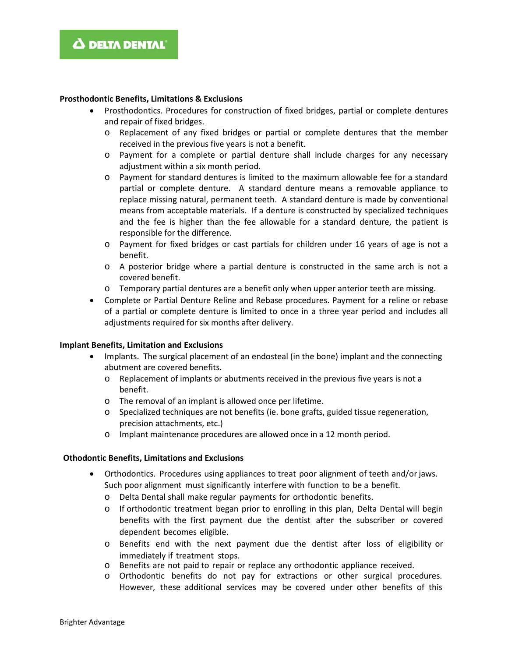#### **Prosthodontic Benefits, Limitations & Exclusions**

- Prosthodontics. Procedures for construction of fixed bridges, partial or complete dentures and repair of fixed bridges.
	- o Replacement of any fixed bridges or partial or complete dentures that the member received in the previous five years is not a benefit.
	- o Payment for a complete or partial denture shall include charges for any necessary adjustment within a six month period.
	- o Payment for standard dentures is limited to the maximum allowable fee for a standard partial or complete denture. A standard denture means a removable appliance to replace missing natural, permanent teeth. A standard denture is made by conventional means from acceptable materials. If a denture is constructed by specialized techniques and the fee is higher than the fee allowable for a standard denture, the patient is responsible for the difference.
	- o Payment for fixed bridges or cast partials for children under 16 years of age is not a benefit.
	- o A posterior bridge where a partial denture is constructed in the same arch is not a covered benefit.
	- o Temporary partial dentures are a benefit only when upper anterior teeth are missing.
- Complete or Partial Denture Reline and Rebase procedures. Payment for a reline or rebase of a partial or complete denture is limited to once in a three year period and includes all adjustments required for six months after delivery.

#### **Implant Benefits, Limitation and Exclusions**

- Implants. The surgical placement of an endosteal (in the bone) implant and the connecting abutment are covered benefits.
	- o Replacement of implants or abutments received in the previous five years is not a benefit.
	- o The removal of an implant is allowed once per lifetime.
	- o Specialized techniques are not benefits (ie. bone grafts, guided tissue regeneration, precision attachments, etc.)
	- o Implant maintenance procedures are allowed once in a 12 month period.

# **Othodontic Benefits, Limitations and Exclusions**

- Orthodontics. Procedures using appliances to treat poor alignment of teeth and/or jaws. Such poor alignment must significantly interfere with function to be a benefit.
	- o Delta Dental shall make regular payments for orthodontic benefits.
	- o If orthodontic treatment began prior to enrolling in this plan, Delta Dental will begin benefits with the first payment due the dentist after the subscriber or covered dependent becomes eligible.
	- o Benefits end with the next payment due the dentist after loss of eligibility or immediately if treatment stops.
	- o Benefits are not paid to repair or replace any orthodontic appliance received.
	- o Orthodontic benefits do not pay for extractions or other surgical procedures. However, these additional services may be covered under other benefits of this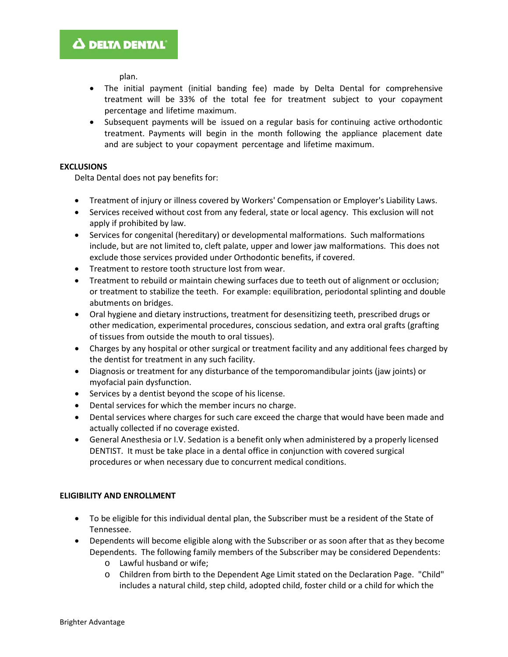plan.

- The initial payment (initial banding fee) made by Delta Dental for comprehensive treatment will be 33% of the total fee for treatment subject to your copayment percentage and lifetime maximum.
- Subsequent payments will be issued on a regular basis for continuing active orthodontic treatment. Payments will begin in the month following the appliance placement date and are subject to your copayment percentage and lifetime maximum.

# **EXCLUSIONS**

Delta Dental does not pay benefits for:

- Treatment of injury or illness covered by Workers' Compensation or Employer's Liability Laws.
- Services received without cost from any federal, state or local agency. This exclusion will not apply if prohibited by law.
- Services for congenital (hereditary) or developmental malformations. Such malformations include, but are not limited to, cleft palate, upper and lower jaw malformations. This does not exclude those services provided under Orthodontic benefits, if covered.
- Treatment to restore tooth structure lost from wear.
- Treatment to rebuild or maintain chewing surfaces due to teeth out of alignment or occlusion; or treatment to stabilize the teeth. For example: equilibration, periodontal splinting and double abutments on bridges.
- Oral hygiene and dietary instructions, treatment for desensitizing teeth, prescribed drugs or other medication, experimental procedures, conscious sedation, and extra oral grafts (grafting of tissues from outside the mouth to oral tissues).
- Charges by any hospital or other surgical or treatment facility and any additional fees charged by the dentist for treatment in any such facility.
- Diagnosis or treatment for any disturbance of the temporomandibular joints (jaw joints) or myofacial pain dysfunction.
- Services by a dentist beyond the scope of his license.
- Dental services for which the member incurs no charge.
- Dental services where charges for such care exceed the charge that would have been made and actually collected if no coverage existed.
- General Anesthesia or I.V. Sedation is a benefit only when administered by a properly licensed DENTIST. It must be take place in a dental office in conjunction with covered surgical procedures or when necessary due to concurrent medical conditions.

# **ELIGIBILITY AND ENROLLMENT**

- To be eligible for this individual dental plan, the Subscriber must be a resident of the State of Tennessee.
- Dependents will become eligible along with the Subscriber or as soon after that as they become Dependents. The following family members of the Subscriber may be considered Dependents:
	- o Lawful husband or wife;
	- o Children from birth to the Dependent Age Limit stated on the Declaration Page. "Child" includes a natural child, step child, adopted child, foster child or a child for which the